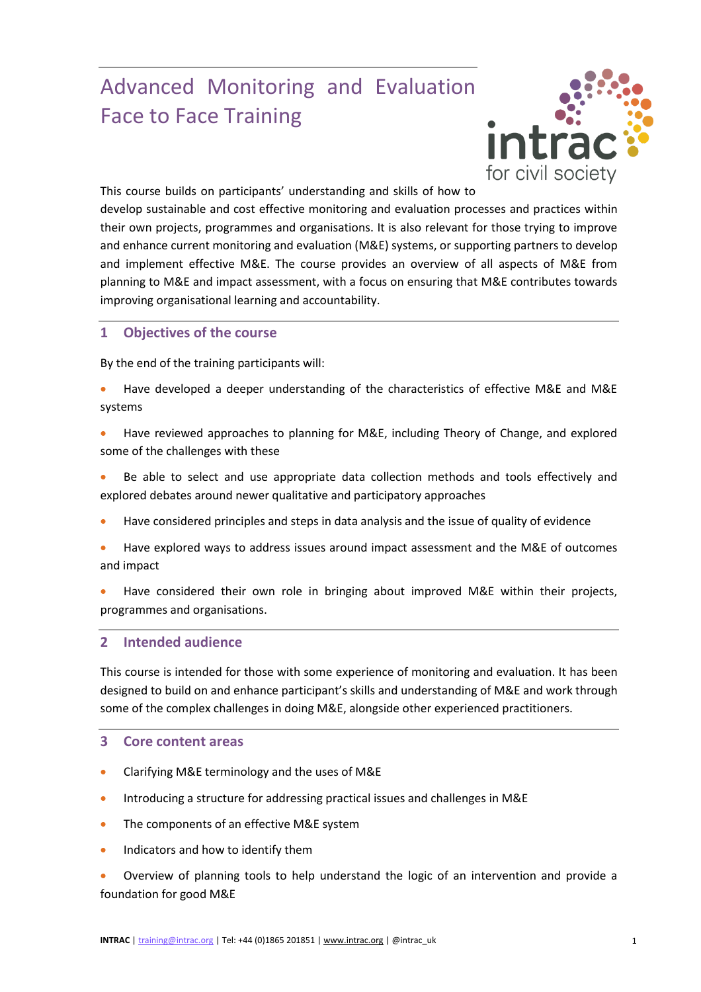# Advanced Monitoring and Evaluation Face to Face Training



This course builds on participants' understanding and skills of how to

develop sustainable and cost effective monitoring and evaluation processes and practices within their own projects, programmes and organisations. It is also relevant for those trying to improve and enhance current monitoring and evaluation (M&E) systems, or supporting partners to develop and implement effective M&E. The course provides an overview of all aspects of M&E from planning to M&E and impact assessment, with a focus on ensuring that M&E contributes towards improving organisational learning and accountability.

## **1 Objectives of the course**

By the end of the training participants will:

- Have developed a deeper understanding of the characteristics of effective M&E and M&E systems
- Have reviewed approaches to planning for M&E, including Theory of Change, and explored some of the challenges with these
- Be able to select and use appropriate data collection methods and tools effectively and explored debates around newer qualitative and participatory approaches
- Have considered principles and steps in data analysis and the issue of quality of evidence
- Have explored ways to address issues around impact assessment and the M&E of outcomes and impact
- Have considered their own role in bringing about improved M&E within their projects, programmes and organisations.

#### **2 Intended audience**

This course is intended for those with some experience of monitoring and evaluation. It has been designed to build on and enhance participant's skills and understanding of M&E and work through some of the complex challenges in doing M&E, alongside other experienced practitioners.

### **3 Core content areas**

- Clarifying M&E terminology and the uses of M&E
- Introducing a structure for addressing practical issues and challenges in M&E
- The components of an effective M&E system
- Indicators and how to identify them
- Overview of planning tools to help understand the logic of an intervention and provide a foundation for good M&E